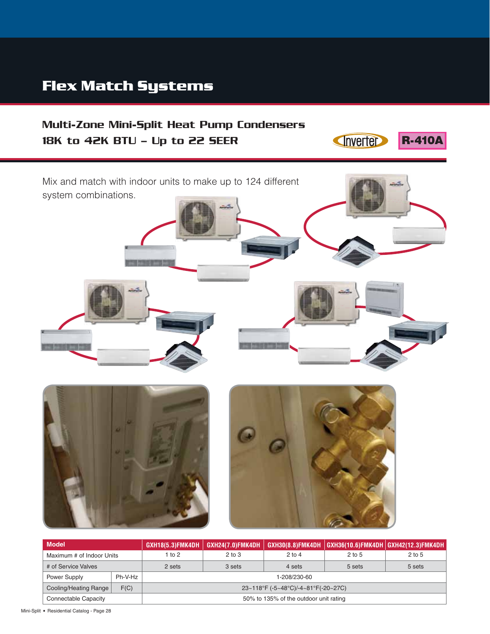# **Flex Match Systems**

Multi-Zone Mini-Split Heat Pump Condensers

# **Inverter R-410A** 18K to 42K BTU – Up to 22 SEER Mix and match with indoor units to make up to 124 different system combinations.

| <b>Model</b>          |                           |                                        | $GXH18(5.3)$ FMK4DH   $GXH24(7.0)$ FMK4DH | GXH30(8.8)FMK4DH |          | $ $ GXH36(10.6)FMK4DH $ $ GXH42(12.3)FMK4DH |  |  |  |
|-----------------------|---------------------------|----------------------------------------|-------------------------------------------|------------------|----------|---------------------------------------------|--|--|--|
|                       | Maximum # of Indoor Units |                                        | $2$ to $3$                                | $2$ to 5         | $2$ to 5 |                                             |  |  |  |
| # of Service Valves   |                           | 2 sets                                 | 5 sets<br>3 sets<br>5 sets<br>4 sets      |                  |          |                                             |  |  |  |
| Power Supply          | Ph-V-Hz                   |                                        | 1-208/230-60                              |                  |          |                                             |  |  |  |
| Cooling/Heating Range | F(C)                      |                                        | $23-118$ °F (-5~48°C)/-4~81°F(-20~27C)    |                  |          |                                             |  |  |  |
| Connectable Capacity  |                           | 50% to 135% of the outdoor unit rating |                                           |                  |          |                                             |  |  |  |

Mini-Split . Residential Catalog - Page 28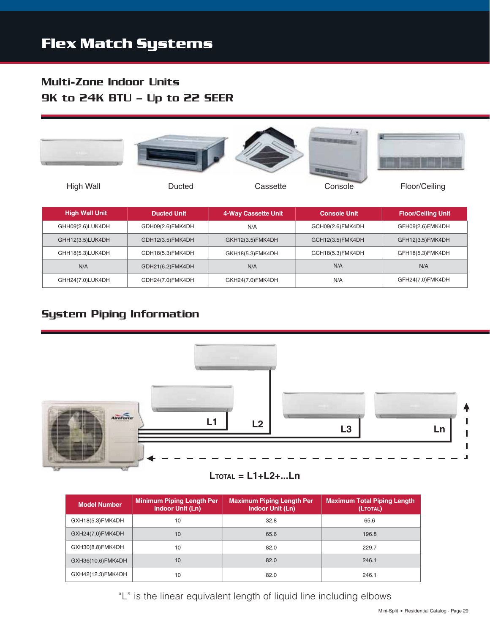#### **Flex Match Systems** Multi-Zone Indoor Units 9K to 24K BTU – Up to 22 SEER



| <b>High Wall Unit</b> | <b>Ducted Unit</b> | 4-Way Cassette Unit | <b>Console Unit</b> | <b>Floor/Ceiling Unit</b> |
|-----------------------|--------------------|---------------------|---------------------|---------------------------|
| GHH09(2.6)LUK4DH      | GDH09(2.6)FMK4DH   | N/A                 | GCH09(2.6)FMK4DH    | GFH09(2.6)FMK4DH          |
| GHH12(3.5)LUK4DH      | GDH12(3.5)FMK4DH   | GKH12(3.5)FMK4DH    | GCH12(3.5)FMK4DH    | GFH12(3.5)FMK4DH          |
| GHH18(5.3)LUK4DH      | GDH18(5.3)FMK4DH   | GKH18(5.3)FMK4DH    | GCH18(5.3)FMK4DH    | GFH18(5.3)FMK4DH          |
| N/A                   | GDH21(6.2)FMK4DH   | N/A                 | N/A                 | N/A                       |
| GHH24(7.0)LUK4DH      | GDH24(7.0)FMK4DH   | GKH24(7.0)FMK4DH    | N/A                 | GFH24(7.0)FMK4DH          |

#### System Piping Information



#### **LTOTAL = L1+L2+...Ln**

| <b>Model Number</b> | <b>Minimum Piping Length Per</b><br>Indoor Unit (Ln) | <b>Maximum Piping Length Per</b><br>Indoor Unit (Ln) | <b>Maximum Total Piping Length</b><br>(LTOTAL) |
|---------------------|------------------------------------------------------|------------------------------------------------------|------------------------------------------------|
| GXH18(5.3)FMK4DH    | 10                                                   | 32.8                                                 | 65.6                                           |
| GXH24(7.0)FMK4DH    | 10                                                   | 65.6                                                 | 196.8                                          |
| GXH30(8.8)FMK4DH    | 10                                                   | 82.0                                                 | 229.7                                          |
| GXH36(10.6)FMK4DH   | 10                                                   | 82.0                                                 | 246.1                                          |
| GXH42(12.3)FMK4DH   | 10                                                   | 82.0                                                 | 246.1                                          |

"L" is the linear equivalent length of liquid line including elbows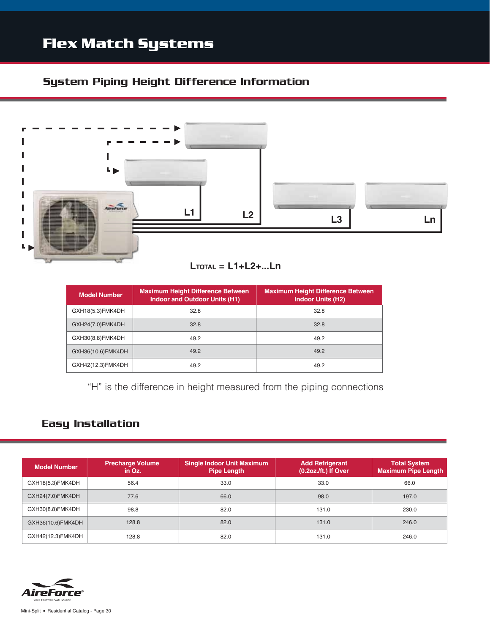# **Flex Match Systems**

### System Piping Height Difference Information



| <b>Model Number</b> | <b>Maximum Height Difference Between</b><br><b>Indoor and Outdoor Units (H1)</b> | <b>Maximum Height Difference Between</b><br><b>Indoor Units (H2)</b> |
|---------------------|----------------------------------------------------------------------------------|----------------------------------------------------------------------|
| GXH18(5.3)FMK4DH    | 32.8                                                                             | 32.8                                                                 |
| GXH24(7.0)FMK4DH    | 32.8                                                                             | 32.8                                                                 |
| GXH30(8.8)FMK4DH    | 49.2                                                                             | 49.2                                                                 |
| GXH36(10.6)FMK4DH   | 49.2                                                                             | 49.2                                                                 |
| GXH42(12.3)FMK4DH   | 49.2                                                                             | 49.2                                                                 |

"H" is the difference in height measured from the piping connections

#### Easy Installation

| <b>Model Number</b> | <b>Precharge Volume</b><br>in Oz. | <b>Single Indoor Unit Maximum</b><br><b>Pipe Length</b> | <b>Add Refrigerant</b><br>(0.2oz./ft.) If Over | <b>Total System</b><br><b>Maximum Pipe Length</b> |
|---------------------|-----------------------------------|---------------------------------------------------------|------------------------------------------------|---------------------------------------------------|
| GXH18(5.3)FMK4DH    | 56.4                              | 33.0                                                    | 33.0                                           | 66.0                                              |
| GXH24(7.0)FMK4DH    | 77.6                              | 66.0                                                    | 98.0                                           | 197.0                                             |
| GXH30(8.8)FMK4DH    | 98.8                              | 82.0                                                    | 131.0                                          | 230.0                                             |
| GXH36(10.6)FMK4DH   | 128.8                             | 82.0                                                    | 131.0                                          | 246.0                                             |
| GXH42(12.3)FMK4DH   | 128.8                             | 82.0                                                    | 131.0                                          | 246.0                                             |

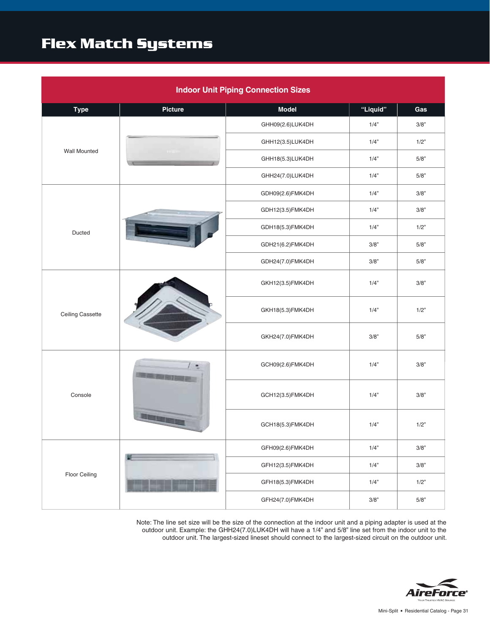# **Flex Match Systems**

| <b>Indoor Unit Piping Connection Sizes</b> |                |                          |          |      |  |  |  |
|--------------------------------------------|----------------|--------------------------|----------|------|--|--|--|
| <b>Type</b>                                | <b>Picture</b> | <b>Model</b>             | "Liquid" | Gas  |  |  |  |
|                                            |                | GHH09(2.6)LUK4DH         | 1/4"     | 3/8" |  |  |  |
|                                            |                | GHH12(3.5)LUK4DH         | 1/4"     | 1/2" |  |  |  |
| <b>Wall Mounted</b>                        |                | GHH18(5.3)LUK4DH<br>1/4" |          |      |  |  |  |
|                                            |                | GHH24(7.0)LUK4DH         | 1/4"     | 5/8" |  |  |  |
|                                            |                | GDH09(2.6)FMK4DH         | 1/4"     | 3/8" |  |  |  |
|                                            |                | 1/4"<br>GDH12(3.5)FMK4DH |          |      |  |  |  |
| Ducted                                     |                | GDH18(5.3)FMK4DH         | 1/2"     |      |  |  |  |
|                                            |                | GDH21(6.2)FMK4DH         | 3/8"     | 5/8" |  |  |  |
|                                            |                | GDH24(7.0)FMK4DH         | 3/8"     | 5/8" |  |  |  |
|                                            |                | GKH12(3.5)FMK4DH         | 1/4"     | 3/8" |  |  |  |
| Ceiling Cassette                           |                | 1/4"<br>GKH18(5.3)FMK4DH |          | 1/2" |  |  |  |
|                                            |                | GKH24(7.0)FMK4DH         | 3/8"     | 5/8" |  |  |  |
|                                            |                | GCH09(2.6)FMK4DH         | 1/4"     | 3/8" |  |  |  |
| Console                                    |                | GCH12(3.5)FMK4DH         | 1/4"     | 3/8" |  |  |  |
|                                            |                | GCH18(5.3)FMK4DH         | 1/4"     | 1/2" |  |  |  |
|                                            |                | GFH09(2.6)FMK4DH         | 1/4"     | 3/8" |  |  |  |
|                                            |                | GFH12(3.5)FMK4DH         | 1/4"     | 3/8" |  |  |  |
| Floor Ceiling                              |                | GFH18(5.3)FMK4DH         | 1/4"     | 1/2" |  |  |  |
|                                            |                | GFH24(7.0)FMK4DH         | 3/8"     | 5/8" |  |  |  |

Note: The line set size will be the size of the connection at the indoor unit and a piping adapter is used at the outdoor unit. Example: the GHH24(7.0)LUK4DH will have a 1/4" and 5/8" line set from the indoor unit to the outdoor unit. The largest-sized lineset should connect to the largest-sized circuit on the outdoor unit.

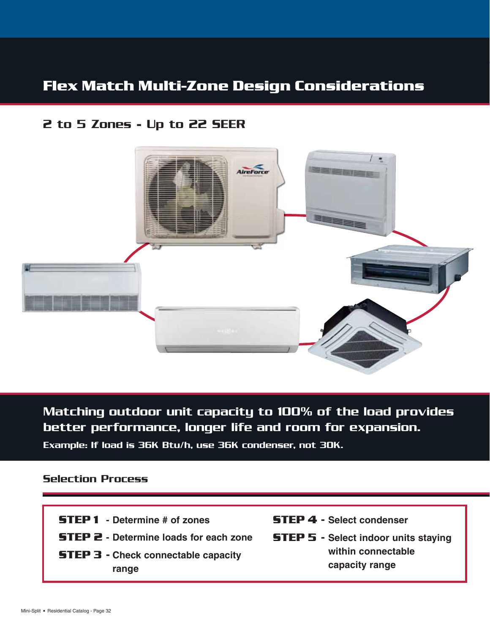## **Flex Match Multi-Zone Design Considerations**

### 2 to 5 Zones - Up to 22 SEER



Matching outdoor unit capacity to 100% of the load provides better performance, longer life and room for expansion.

Example: If load is 36K Btu/h, use 36K condenser, not 30K.

#### Selection Process

- **STEP 1 Determine # of zones**
- **STEP 2 Determine loads for each zone**
- **STEP 3 Check connectable capacity range**
- **STEP 4 Select condenser**
- **STEP 5 Select indoor units staying within connectable capacity range**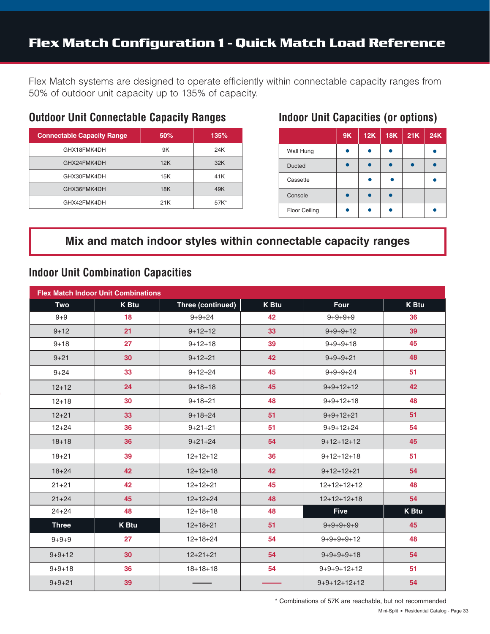#### **Flex Match Configuration 1 - Quick Match Load Reference**

Flex Match systems are designed to operate efficiently within connectable capacity ranges from 50% of outdoor unit capacity up to 135% of capacity.

#### **Outdoor Unit Connectable Capacity Ranges**

| 50% | 135% |
|-----|------|
| 9K  | 24K  |
| 12K | 32K  |
| 15K | 41K  |
| 18K | 49K  |
| 21K | 57K* |
|     |      |

#### **Indoor Unit Capacities (or options)**

|                      | <b>9K</b> | 12K | <b>18K</b> | 21K | <b>24K</b> |
|----------------------|-----------|-----|------------|-----|------------|
| Wall Hung            |           |     |            |     |            |
| <b>Ducted</b>        |           |     |            |     |            |
| Cassette             |           |     |            |     |            |
| Console              |           |     |            |     |            |
| <b>Floor Ceiling</b> |           |     |            |     |            |

#### **Mix and match indoor styles within connectable capacity ranges**

#### **Indoor Unit Combination Capacities**

|              | <b>Flex Match Indoor Unit Combinations</b> |                   |              |                 |              |
|--------------|--------------------------------------------|-------------------|--------------|-----------------|--------------|
| Two          | K Btu                                      | Three (continued) | <b>K</b> Btu | <b>Four</b>     | <b>K</b> Btu |
| $9 + 9$      | 18                                         | $9 + 9 + 24$      | 42           | $9 + 9 + 9 + 9$ | 36           |
| $9 + 12$     | 21                                         | $9+12+12$         | 33           | $9+9+9+12$      | 39           |
| $9 + 18$     | 27                                         | $9+12+18$         | 39           | $9+9+9+18$      | 45           |
| $9 + 21$     | 30                                         | $9+12+21$         | 42           | $9+9+9+21$      | 48           |
| $9 + 24$     | 33                                         | $9+12+24$         | 45           | $9+9+9+24$      | 51           |
| $12+12$      | 24                                         | $9+18+18$         | 45           | $9+9+12+12$     | 42           |
| $12 + 18$    | 30                                         | $9+18+21$         | 48           | $9+9+12+18$     | 48           |
| $12 + 21$    | 33                                         | $9+18+24$         | 51           | $9+9+12+21$     | 51           |
| $12 + 24$    | 36                                         | $9 + 21 + 21$     | 51           | $9+9+12+24$     | 54           |
| $18 + 18$    | 36                                         | $9 + 21 + 24$     | 54           | $9+12+12+12$    | 45           |
| $18 + 21$    | 39                                         | $12+12+12$        | 36           | $9+12+12+18$    | 51           |
| $18 + 24$    | 42                                         | $12+12+18$        | 42           | $9+12+12+21$    | 54           |
| $21 + 21$    | 42                                         | $12+12+21$        | 45           | $12+12+12+12$   | 48           |
| $21 + 24$    | 45                                         | $12+12+24$        | 48           | $12+12+12+18$   | 54           |
| $24 + 24$    | 48                                         | $12+18+18$        | 48           | <b>Five</b>     | <b>K</b> Btu |
| <b>Three</b> | <b>K</b> Btu                               | $12+18+21$        | 51           | $9+9+9+9+9$     | 45           |
| $9 + 9 + 9$  | 27                                         | $12+18+24$        | 54           | $9+9+9+9+12$    | 48           |
| $9 + 9 + 12$ | 30                                         | $12+21+21$        | 54           | $9+9+9+9+18$    | 54           |
| $9 + 9 + 18$ | 36                                         | $18 + 18 + 18$    | 54           | $9+9+9+12+12$   | 51           |
| $9 + 9 + 21$ | 39                                         |                   |              | $9+9+12+12+12$  | 54           |

\* Combinations of 57K are reachable, but not recommended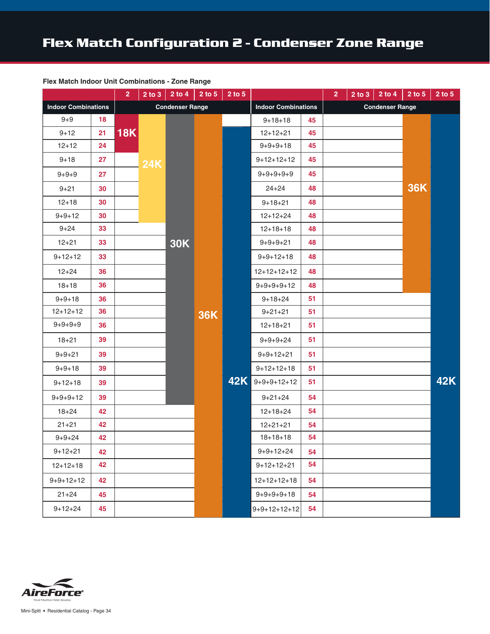#### **Flex Match Indoor Unit Combinations - Zone Range**

|                            |    | $\overline{2}$ | $2$ to $3$ | 2 to 4                 | $2$ to $5$ | $2$ to $5$ |                |                                                      | $\overline{2}$ | $2$ to $3$ | $2$ to $4$ | $2$ to $5$ | $2$ to $5$ |
|----------------------------|----|----------------|------------|------------------------|------------|------------|----------------|------------------------------------------------------|----------------|------------|------------|------------|------------|
| <b>Indoor Combinations</b> |    |                |            | <b>Condenser Range</b> |            |            |                | <b>Indoor Combinations</b><br><b>Condenser Range</b> |                |            |            |            |            |
| $9 + 9$                    | 18 |                |            |                        |            |            | $9+18+18$      | 45                                                   |                |            |            |            |            |
| $9 + 12$                   | 21 | <b>18K</b>     |            |                        |            |            | $12+12+21$     | 45                                                   |                |            |            |            |            |
| $12 + 12$                  | 24 |                |            |                        |            |            | $9+9+9+18$     | 45                                                   |                |            |            |            |            |
| $9 + 18$                   | 27 |                | <b>24K</b> |                        |            |            | $9+12+12+12$   | 45                                                   |                |            |            |            |            |
| $9 + 9 + 9$                | 27 |                |            |                        |            |            | $9+9+9+9+9$    | 45                                                   |                |            |            |            |            |
| $9 + 21$                   | 30 |                |            |                        |            |            | $24 + 24$      | 48                                                   |                |            |            | <b>36K</b> |            |
| $12 + 18$                  | 30 |                |            |                        |            |            | $9+18+21$      | 48                                                   |                |            |            |            |            |
| $9 + 9 + 12$               | 30 |                |            |                        |            |            | $12+12+24$     | 48                                                   |                |            |            |            |            |
| $9 + 24$                   | 33 |                |            |                        |            |            | $12 + 18 + 18$ | 48                                                   |                |            |            |            |            |
| $12 + 21$                  | 33 |                |            | <b>30K</b>             |            |            | $9+9+9+21$     | 48                                                   |                |            |            |            |            |
| $9 + 12 + 12$              | 33 |                |            |                        |            |            | $9+9+12+18$    | 48                                                   |                |            |            |            |            |
| $12 + 24$                  | 36 |                |            |                        |            |            | $12+12+12+12$  | 48                                                   |                |            |            |            |            |
| $18 + 18$                  | 36 |                |            |                        |            |            | $9+9+9+9+12$   | 48                                                   |                |            |            |            |            |
| $9 + 9 + 18$               | 36 |                |            |                        |            |            | $9+18+24$      | 51                                                   |                |            |            |            |            |
| $12 + 12 + 12$             | 36 |                |            |                        | <b>36K</b> |            | $9 + 21 + 21$  | 51                                                   |                |            |            |            |            |
| $9 + 9 + 9 + 9$            | 36 |                |            |                        |            |            | $12+18+21$     | 51                                                   |                |            |            |            |            |
| $18 + 21$                  | 39 |                |            |                        |            |            | $9+9+9+24$     | 51                                                   |                |            |            |            |            |
| $9 + 9 + 21$               | 39 |                |            |                        |            |            | $9+9+12+21$    | 51                                                   |                |            |            |            |            |
| $9 + 9 + 18$               | 39 |                |            |                        |            |            | $9+12+12+18$   | 51                                                   |                |            |            |            |            |
| $9+12+18$                  | 39 |                |            |                        |            | <b>42K</b> | $9+9+9+12+12$  | 51                                                   |                |            |            |            | <b>42K</b> |
| $9+9+9+12$                 | 39 |                |            |                        |            |            | $9 + 21 + 24$  | 54                                                   |                |            |            |            |            |
| $18 + 24$                  | 42 |                |            |                        |            |            | $12+18+24$     | 54                                                   |                |            |            |            |            |
| $21 + 21$                  | 42 |                |            |                        |            |            | $12 + 21 + 21$ | 54                                                   |                |            |            |            |            |
| $9 + 9 + 24$               | 42 |                |            |                        |            |            | $18 + 18 + 18$ | 54                                                   |                |            |            |            |            |
| $9 + 12 + 21$              | 42 |                |            |                        |            |            | $9+9+12+24$    | 54                                                   |                |            |            |            |            |
| $12+12+18$                 | 42 |                |            |                        |            |            | $9+12+12+21$   | 54                                                   |                |            |            |            |            |
| $9+9+12+12$                | 42 |                |            |                        |            |            | $12+12+12+18$  | 54                                                   |                |            |            |            |            |
| $21 + 24$                  | 45 |                |            |                        |            |            | $9+9+9+9+18$   | 54                                                   |                |            |            |            |            |
| $9+12+24$                  | 45 |                |            |                        |            |            | $9+9+12+12+12$ | 54                                                   |                |            |            |            |            |

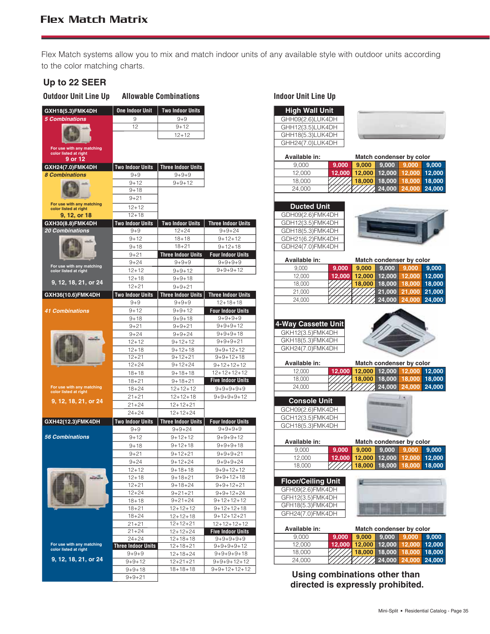Flex Match systems allow you to mix and match indoor units of any available style with outdoor units according to the color matching charts.

#### **Up to 22 SEER**

#### **Outdoor Unit Line Up Indoor Unit Line Up Allowable Combinations**

| GXH18(5.3)FMK4DH                                   | <b>One Indoor Unit</b>                   | <b>Two Indoor Units</b>          |                            |
|----------------------------------------------------|------------------------------------------|----------------------------------|----------------------------|
| <b>5 Combinations</b>                              | 9                                        | $9 + 9$                          |                            |
|                                                    | 12                                       | $9 + 12$                         |                            |
|                                                    |                                          | $12 + 12$                        |                            |
| For use with any matching                          |                                          |                                  |                            |
| color listed at right                              |                                          |                                  |                            |
| 9 or 12                                            |                                          |                                  |                            |
| GXH24(7.0)FMK4DH                                   | <b>Two Indoor Units</b>                  | <b>Three Indoor Units</b>        |                            |
| <b>8 Combinations</b>                              | $9 + 9$                                  | $9 + 9 + 9$                      |                            |
|                                                    | $9 + 12$                                 | $9 + 9 + 12$                     |                            |
|                                                    | $9 + 18$                                 |                                  |                            |
|                                                    | $9 + 21$                                 |                                  |                            |
| For use with any matching<br>color listed at right | $12 + 12$                                |                                  |                            |
| 9, 12, or 18                                       | $12 + 18$                                |                                  |                            |
| GXH30(8.8)FMK4DH                                   | <b>Two Indoor Units</b>                  | <b>Two Indoor Units</b>          | <b>Three Indoor Units</b>  |
| 20 Combinations                                    | $9 + 9$                                  | $12 + 24$                        | $9 + 9 + 24$               |
|                                                    | $9 + 12$                                 | $18 + 18$                        | $9 + 12 + 12$              |
|                                                    | $9 + 18$                                 | $18 + 21$                        | $9 + 12 + 18$              |
|                                                    | $9 + 21$                                 | <b>Three Indoor Units</b>        | <b>Four Indoor Units</b>   |
|                                                    | $9 + 24$                                 | $9 + 9 + 9$                      | $9 + 9 + 9 + 9$            |
| For use with any matching                          | $12 + 12$                                | $9 + 9 + 12$                     | $9 + 9 + 9 + 12$           |
| color listed at right                              | $12 + 18$                                | $9 + 9 + 18$                     |                            |
| 9, 12, 18, 21, or 24                               |                                          |                                  |                            |
|                                                    | $12 + 21$                                | $9 + 9 + 21$                     |                            |
| GXH36(10.6)FMK4DH                                  | <b>Two Indoor Units</b>                  | <b>Three Indoor Units</b>        | <b>Three Indoor Units</b>  |
|                                                    | $9 + 9$                                  | $9 + 9 + 9$                      | $12 + 18 + 18$             |
| <b>41 Combinations</b>                             | $9 + 12$                                 | $9 + 9 + 12$                     | <b>Four Indoor Units</b>   |
|                                                    | $9 + 18$                                 | $9 + 9 + 18$                     | $9 + 9 + 9 + 9$            |
|                                                    | $9 + 21$                                 | $9 + 9 + 21$                     | $9 + 9 + 9 + 12$           |
|                                                    | $9 + 24$                                 | $9 + 9 + 24$                     | $9 + 9 + 9 + 18$           |
|                                                    | $12 + 12$                                | $9 + 12 + 12$                    | $9 + 9 + 9 + 21$           |
|                                                    | $12 + 18$                                | $9 + 12 + 18$                    | $9 + 9 + 12 + 12$          |
|                                                    | $12 + 21$                                | $9 + 12 + 21$                    | $9 + 9 + 12 + 18$          |
|                                                    | $12 + 24$                                | $9 + 12 + 24$                    | $9+12+12+12$               |
|                                                    | $18 + 18$                                | $9 + 18 + 18$                    | $12 + 12 + 12 + 12$        |
|                                                    | $18 + 21$                                | $9 + 18 + 21$                    | <b>Five Indoor Units</b>   |
| For use with any matching<br>color listed at right | $18 + 24$                                | $12 + 12 + 12$                   | $9 + 9 + 9 + 9 + 9$        |
| 9, 12, 18, 21, or 24                               | $21 + 21$                                | $12 + 12 + 18$                   | $9 + 9 + 9 + 9 + 12$       |
|                                                    | $21 + 24$                                | $12 + 12 + 21$                   |                            |
|                                                    | $24 + 24$                                | $12 + 12 + 24$                   |                            |
| GXH42(12.3)FMK4DH                                  | <b>Two Indoor Units</b>                  | <b>Three Indoor Units</b>        | <b>Four Indoor Units</b>   |
|                                                    | $9 + 9$                                  | $9 + 9 + 24$                     | $9 + 9 + 9 + 9$            |
| <b>56 Combinations</b>                             | $9 + 12$                                 | $9 + 12 + 12$                    | $9 + 9 + 9 + 12$           |
|                                                    | $9 + 18$                                 | $9 + 12 + 18$                    | $9 + 9 + 9 + 18$           |
|                                                    | $9 + 21$                                 | $9 + 12 + 21$                    | $9 + 9 + 9 + 21$           |
|                                                    | $9 + 24$                                 | $9 + 12 + 24$                    | $9 + 9 + 9 + 24$           |
|                                                    | $12 + 12$                                | $9 + 18 + 18$                    | $9 + 9 + 12 + 12$          |
|                                                    |                                          |                                  | $9 + 9 + 12 + 18$          |
|                                                    |                                          |                                  |                            |
|                                                    | $12 + 18$                                | $9 + 18 + 21$                    |                            |
|                                                    | $12 + 21$                                | $9 + 18 + 24$                    | $9 + 9 + 12 + 21$          |
|                                                    | $12 + 24$                                | $9 + 21 + 21$                    | $9 + 9 + 12 + 24$          |
|                                                    | $18 + 18$                                | $9 + 21 + 24$                    | $9 + 12 + 12 + 12$         |
|                                                    | $18 + 21$                                | $12 + 12 + 12$                   | $9+12+12+18$               |
|                                                    | $18 + 24$                                | $12 + 12 + 18$                   | $9+12+12+21$               |
|                                                    | $21 + 21$                                | $12 + 12 + 21$                   | $12 + 12 + 12 + 12$        |
|                                                    | $21 + 24$                                | $12 + 12 + 24$                   | <b>Five Indoor Units</b>   |
| For use with any matching                          | $24 + 24$                                | $12 + 18 + 18$                   | $9+9+9+9+9$                |
| color listed at right                              | <b>Three Indoor Units</b><br>$9 + 9 + 9$ | 12+18+21                         | 9+9+9+9+12<br>$9+9+9+9+18$ |
| 9, 12, 18, 21, or 24                               |                                          | $12 + 18 + 24$                   | $9+9+9+12+12$              |
|                                                    | $9 + 9 + 12$                             | $12 + 21 + 21$<br>$18 + 18 + 18$ |                            |
|                                                    | $9 + 9 + 18$<br>$9 + 9 + 21$             |                                  | $9 + 9 + 12 + 12 + 12$     |

| <b>High Wall Unit</b> |
|-----------------------|
| GHH09(2.6)LUK4DH      |
| GHH12(3.5)LUK4DH      |
| GHH18(5.3)LUK4DH      |
| GHH24(7.0)LUK4DH      |
|                       |

|          |                                                        | Available in: |       | Match condenser by color           |       |                      |
|----------|--------------------------------------------------------|---------------|-------|------------------------------------|-------|----------------------|
|          | Two Indoor Units $\; \bar{}\;$ Three Indoor Units $\;$ | 9.000         | 9.000 | $9.000$ 9.000                      | 9.000 | $\blacksquare$ 9.000 |
| $9 + 9$  | $9 + 9 + 9$                                            | 12.000        |       | 12.000 12.000 12.000 12.000 12.000 |       |                      |
| $9 + 12$ | $9 + 9 + 12$                                           | 18,000        |       | 4 18.000 18.000 18.000 18.000      |       |                      |
| $9 + 18$ |                                                        | 24.000        |       | 24.000 24.000                      |       | 24,000               |

| <b>Ducted Unit</b> |       |        |                          |       |    |
|--------------------|-------|--------|--------------------------|-------|----|
| GDH09(2.6)FMK4DH   |       |        |                          |       |    |
| GDH12(3.5)FMK4DH   |       |        |                          |       |    |
| GDH18(5.3)FMK4DH   |       |        |                          |       |    |
| GDH21(6.2)FMK4DH   |       |        |                          |       |    |
| GDH24(7.0)FMK4DH   |       |        |                          |       |    |
| Available in:      |       |        | Match condenser by color |       |    |
| 9,000              | 9,000 | 9.000  | 9.000                    | 9.000 | 9. |
| 12.000             |       | 12.000 | 2.000                    |       | 12 |

| 9.000  | 9.000  | 9.000  | 9.000                | 9.000                | 9.000  |
|--------|--------|--------|----------------------|----------------------|--------|
| 12.000 | 12.000 | 12,000 |                      | 12,000 12,000        | 12.000 |
| 18.000 |        | 18,000 |                      | 18.000 18.000 18.000 |        |
| 21.000 |        |        | 21.000 21.000 21.000 |                      |        |
| 24.000 |        |        | 24,000 24,000 24,000 |                      |        |
|        |        |        |                      |                      |        |

| 4-Way Cassette Unit<br>GKH12(3.5)FMK4DH<br>GKH18(5.3)FMK4DH<br>GKH24(7.0)FMK4DH |        |        |        |                          |        |
|---------------------------------------------------------------------------------|--------|--------|--------|--------------------------|--------|
| Available in:                                                                   |        |        |        | Match condenser by color |        |
| 12,000                                                                          | 12,000 | 12,000 | 12.000 | 12.000                   | 12.000 |
| 18,000                                                                          |        | 18,000 | 18,000 | 18,000                   | 18,000 |
| 24,000                                                                          |        |        | 24,000 | 24,000                   | 24,000 |
| <b>Console Unit</b>                                                             |        |        |        |                          |        |

| .                |  |
|------------------|--|
| GCH09(2.6)FMK4DH |  |
| GCH12(3.5)FMK4DH |  |
| GCH18(5.3)FMK4DH |  |
|                  |  |
|                  |  |

| Available in: | Match condenser by color                  |  |                         |  |  |
|---------------|-------------------------------------------|--|-------------------------|--|--|
| 9.000         | $9.000 \angle$                            |  | 9.000 9.000 9.000 9.000 |  |  |
| 12.000        | 12,000 12,000 12,000 12,000 12,000        |  |                         |  |  |
| 18,000        | $\frac{1}{2}$ 18,000 18,000 18,000 18,000 |  |                         |  |  |

| <b>Floor/Ceiling Unit</b> |  |
|---------------------------|--|
| GFH09(2.6)FMK4DH          |  |
| GFH12(3.5)FMK4DH          |  |
| GFH18(5.3)FMK4DH          |  |
| GFH24(7.0)FMK4DH          |  |
|                           |  |

| Available in: | Match condenser by color |                                           |                                      |  |       |
|---------------|--------------------------|-------------------------------------------|--------------------------------------|--|-------|
| 9.000         | 9.000                    |                                           | $9,000$ $9,000$ $9,000$              |  | 9.000 |
| 12.000        |                          | 12,000 12,000 12,000 12,000 12,000        |                                      |  |       |
| 18,000        |                          | $\frac{1}{2}$ 18,000 18,000 18,000 18,000 |                                      |  |       |
| 24.000        |                          |                                           | $\frac{2}{100}$ 24,000 24,000 24,000 |  |       |

**Using combinations other than directed is expressly prohibited.**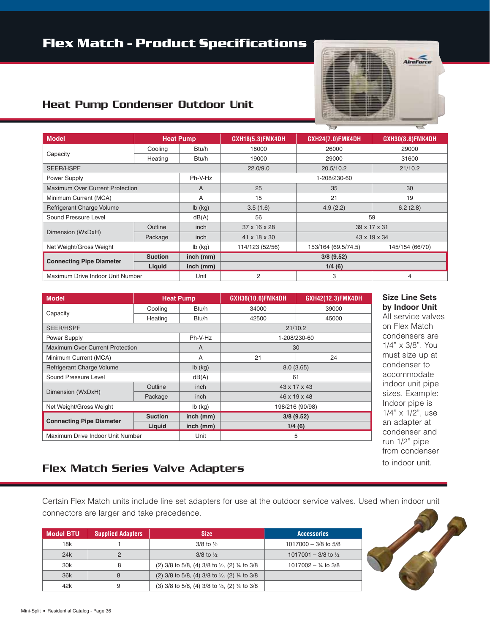#### Heat Pump Condenser Outdoor Unit

|                                  |                  |             |                                  | <b>Contract</b>                        | <b>Total</b>     |  |
|----------------------------------|------------------|-------------|----------------------------------|----------------------------------------|------------------|--|
| <b>Model</b>                     | <b>Heat Pump</b> |             | GXH18(5.3)FMK4DH                 | GXH24(7.0)FMK4DH                       | GXH30(8.8)FMK4DH |  |
|                                  | Cooling          | Btu/h       | 18000                            | 26000                                  | 29000            |  |
| Capacity                         | Heating          | Btu/h       | 19000                            | 29000                                  | 31600            |  |
| SEER/HSPF                        |                  |             | 21/10.2<br>22.0/9.0<br>20.5/10.2 |                                        |                  |  |
| Power Supply                     |                  | Ph-V-Hz     |                                  | 1-208/230-60                           |                  |  |
| Maximum Over Current Protection  |                  | A           | 25                               | 35<br>30                               |                  |  |
| Minimum Current (MCA)            |                  | A           | 15                               | 21<br>19                               |                  |  |
| Refrigerant Charge Volume        |                  | $lb$ (kg)   | 3.5(1.6)                         | 4.9(2.2)<br>6.2(2.8)                   |                  |  |
| Sound Pressure Level             |                  | dB(A)       | 56                               | 59                                     |                  |  |
|                                  | Outline          | inch        | 37 x 16 x 28                     | 39 x 17 x 31                           |                  |  |
| Dimension (WxDxH)                | Package          | inch        | 41 x 18 x 30                     | 43 x 19 x 34                           |                  |  |
| Net Weight/Gross Weight          |                  | $lb$ (kg)   | 114/123 (52/56)                  | 153/164 (69.5/74.5)<br>145/154 (66/70) |                  |  |
| <b>Suction</b>                   |                  | $inch$ (mm) |                                  | 3/8(9.52)                              |                  |  |
| <b>Connecting Pipe Diameter</b>  | Liquid           | $inch$ (mm) |                                  | 1/4(6)                                 |                  |  |
| Maximum Drive Indoor Unit Number |                  | Unit        | 3<br>2<br>4                      |                                        |                  |  |

| <b>Model</b>                           | <b>Heat Pump</b> |                | GXH36(10.6)FMK4DH | GXH42(12.3)FMK4DH |  |
|----------------------------------------|------------------|----------------|-------------------|-------------------|--|
|                                        | Cooling          | Btu/h          | 34000             | 39000             |  |
| Capacity                               | Heating          | Btu/h          | 42500             | 45000             |  |
| <b>SEER/HSPF</b>                       |                  |                | 21/10.2           |                   |  |
| Power Supply                           |                  | Ph-V-Hz        |                   | 1-208/230-60      |  |
| <b>Maximum Over Current Protection</b> |                  | $\overline{A}$ | 30                |                   |  |
| Minimum Current (MCA)                  |                  | A              | 21                | 24                |  |
| Refrigerant Charge Volume              |                  | $lb$ (kg)      | 8.0(3.65)         |                   |  |
| Sound Pressure Level                   |                  | dB(A)          | 61                |                   |  |
| Dimension (WxDxH)                      | Outline          | inch           | 43 x 17 x 43      |                   |  |
|                                        | Package          | inch           | 46 x 19 x 48      |                   |  |
| Net Weight/Gross Weight                |                  | $lb$ (kg)      | 198/216 (90/98)   |                   |  |
| <b>Suction</b>                         |                  | inch (mm)      | 3/8(9.52)         |                   |  |
| <b>Connecting Pipe Diameter</b>        | Liquid           | inch (mm)      |                   | 1/4(6)            |  |
| Maximum Drive Indoor Unit Number       |                  | Unit           | 5                 |                   |  |

#### **Size Line Sets by Indoor Unit**

AireForce

All service valves on Flex Match condensers are 1/4" x 3/8". You must size up at condenser to accommodate indoor unit pipe sizes. Example: Indoor pipe is 1/4" x 1/2", use an adapter at condenser and run 1/2" pipe from condenser to indoor unit.

#### Flex Match Series Valve Adapters

Certain Flex Match units include line set adapters for use at the outdoor service valves. Used when indoor unit connectors are larger and take precedence.

| <b>Model BTU</b> | <b>Supplied Adapters</b> | <b>Size</b>                                                         | <b>Accessories</b>             |
|------------------|--------------------------|---------------------------------------------------------------------|--------------------------------|
| 18k              |                          | $3/8$ to $\frac{1}{2}$                                              | $1017000 - 3/8$ to 5/8         |
| 24k              | 2                        | $3/8$ to $\frac{1}{2}$                                              | 1017001 - 3/8 to $\frac{1}{2}$ |
| 30k              | 8                        | $(2)$ 3/8 to 5/8, (4) 3/8 to 1/2, (2) 1/4 to 3/8                    | 1017002 - 1/4 to 3/8           |
| 36k              | 8                        | (2) 3/8 to 5/8, (4) 3/8 to $\frac{1}{2}$ , (2) $\frac{1}{4}$ to 3/8 |                                |
| 42k              | 9                        | $(3)$ 3/8 to 5/8, (4) 3/8 to 1/2, (2) 1/4 to 3/8                    |                                |

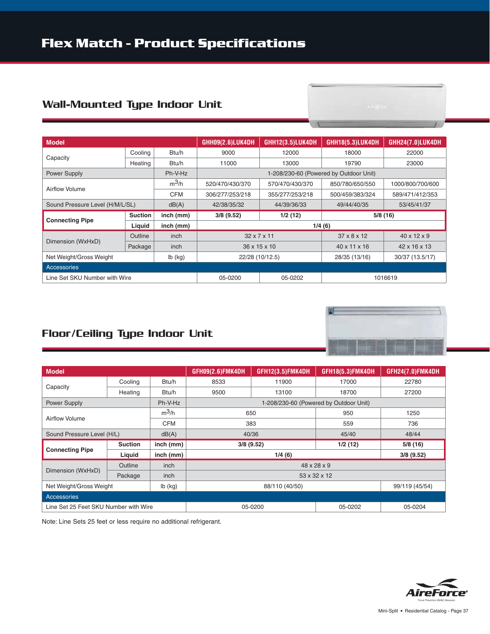#### Wall-Mounted Type Indoor Unit

| <b>Model</b>                    |                |            | GHH09(2.6)LUK4DH                | GHH12(3.5)LUK4DH                       | GHH18(5.3)LUK4DH         | GHH24(7.0)LUK4DH        |
|---------------------------------|----------------|------------|---------------------------------|----------------------------------------|--------------------------|-------------------------|
|                                 | Cooling        | Btu/h      | 9000<br>12000                   |                                        | 18000                    | 22000                   |
| Capacity                        | Heating        | Btu/h      | 11000<br>13000                  |                                        | 19790                    | 23000                   |
| <b>Power Supply</b>             | Ph-V-Hz        |            |                                 | 1-208/230-60 (Powered by Outdoor Unit) |                          |                         |
|                                 |                | $m^3/h$    | 520/470/430/370                 | 570/470/430/370                        | 850/780/650/550          | 1000/800/700/600        |
| Airflow Volume                  |                | <b>CFM</b> | 306/277/253/218                 | 355/277/253/218                        | 500/459/383/324          | 589/471/412/353         |
| Sound Pressure Level (H/M/L/SL) |                | dB(A)      | 42/38/35/32<br>44/39/36/33      |                                        | 49/44/40/35              | 53/45/41/37             |
|                                 | <b>Suction</b> | inch (mm)  | 3/8(9.52)<br>1/2(12)<br>5/8(16) |                                        |                          |                         |
|                                 |                |            |                                 |                                        |                          |                         |
| <b>Connecting Pipe</b>          | Liquid         | inch (mm)  |                                 | 1/4(6)                                 |                          |                         |
|                                 | Outline        | inch       | $32 \times 7 \times 11$         |                                        | 37 x 8 x 12              | $40 \times 12 \times 9$ |
| Dimension (WxHxD)               | Package        | inch       |                                 | $36 \times 15 \times 10$               | $40 \times 11 \times 16$ | 42 x 16 x 13            |
| Net Weight/Gross Weight         |                | $lb$ (kg)  | 22/28 (10/12.5)                 |                                        | 28/35 (13/16)            | 30/37 (13.5/17)         |
| Accessories                     |                |            |                                 |                                        |                          |                         |

浅



#### Floor/Ceiling Type Indoor Unit

| <b>Model</b>                   |                |             | GFH09(2.6)FMK4DH     | GFH12(3.5)FMK4DH | GFH18(5.3)FMK4DH                       | GFH24(7.0)FMK4DH |  |
|--------------------------------|----------------|-------------|----------------------|------------------|----------------------------------------|------------------|--|
| Cooling<br>Capacity<br>Heating |                | Btu/h       | 8533<br>11900        |                  | 17000                                  | 22780            |  |
|                                |                | Btu/h       | 9500                 | 13100            | 18700                                  | 27200            |  |
| Ph-V-Hz<br>Power Supply        |                |             |                      |                  | 1-208/230-60 (Powered by Outdoor Unit) |                  |  |
|                                |                | $m^3/h$     | 650                  |                  | 950                                    | 1250             |  |
| Airflow Volume                 |                | <b>CFM</b>  |                      | 383              | 559                                    | 736              |  |
| Sound Pressure Level (H/L)     |                | dB(A)       | 40/36                |                  | 45/40                                  | 48/44            |  |
| <b>Connecting Pipe</b>         | <b>Suction</b> | inch (mm)   | 3/8(9.52)<br>1/2(12) |                  |                                        | 5/8(16)          |  |
|                                | Liquid         | $inch$ (mm) |                      | 3/8(9.52)        |                                        |                  |  |
| Outline                        |                | inch        | 48 x 28 x 9          |                  |                                        |                  |  |
| Dimension (WxHxD)              | Package        | <i>inch</i> |                      |                  |                                        |                  |  |
| Net Weight/Gross Weight        |                |             | 88/110 (40/50)       |                  |                                        |                  |  |
|                                |                | $lb$ (kg)   |                      |                  |                                        | 99/119 (45/54)   |  |
| Accessories                    |                |             |                      |                  |                                        |                  |  |

Note: Line Sets 25 feet or less require no additional refrigerant.

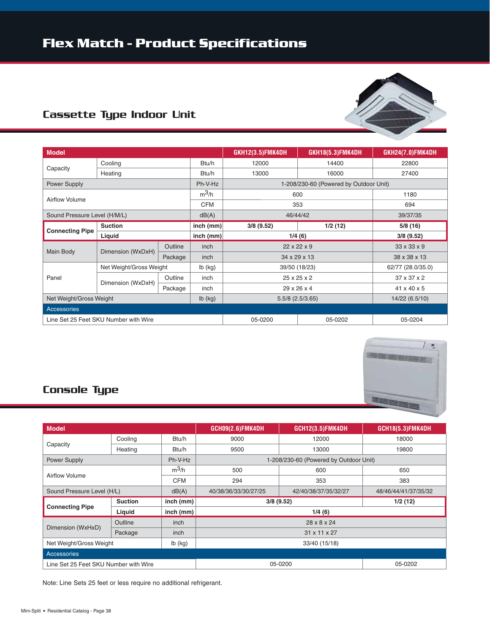#### Cassette Type Indoor Unit



| <b>Model</b>                 |                                       |         |             | GKH12(3.5)FMK4DH        | GKH18(5.3)FMK4DH                       | GKH24(7.0)FMK4DH  |
|------------------------------|---------------------------------------|---------|-------------|-------------------------|----------------------------------------|-------------------|
| Cooling                      |                                       |         | Btu/h       | 12000                   | 14400                                  | 22800             |
| Capacity                     | Heating                               |         | Btu/h       | 13000                   | 16000                                  | 27400             |
| Power Supply                 |                                       |         | Ph-V-Hz     |                         | 1-208/230-60 (Powered by Outdoor Unit) |                   |
| Airflow Volume               |                                       |         | $m^3/h$     | 600                     |                                        | 1180              |
|                              |                                       |         | <b>CFM</b>  | 353                     |                                        | 694               |
| Sound Pressure Level (H/M/L) |                                       |         | dB(A)       | 46/44/42                |                                        | 39/37/35          |
|                              | <b>Suction</b>                        |         | inch (mm)   | 3/8(9.52)               | 1/2(12)                                | 5/8(16)           |
| <b>Connecting Pipe</b>       | Liquid                                |         | $inch$ (mm) | 1/4(6)                  |                                        | 3/8(9.52)         |
| Main Body                    | Dimension (WxDxH)                     | Outline | inch        | $22 \times 22 \times 9$ |                                        | 33 x 33 x 9       |
|                              |                                       | Package | inch        | 34 x 29 x 13            |                                        | 38 x 38 x 13      |
|                              | Net Weight/Gross Weight               |         | $lb$ (kg)   | 39/50 (18/23)           |                                        | 62/77 (28.0/35.0) |
| Panel                        | Dimension (WxDxH)                     | Outline | inch        | $25 \times 25 \times 2$ |                                        | 37 x 37 x 2       |
|                              |                                       | Package | inch        | 29 x 26 x 4             |                                        | 41 x 40 x 5       |
| Net Weight/Gross Weight      |                                       |         | $Ib$ (kg)   | $5.5/8$ (2.5/3.65)      |                                        | 14/22 (6.5/10)    |
| Accessories                  |                                       |         |             |                         |                                        |                   |
|                              | Line Set 25 Feet SKU Number with Wire |         |             | 05-0200                 | 05-0202                                | 05-0204           |



#### Console Type

| <b>Model</b>               |                |             | GCH09(2.6)FMK4DH                             | <b>GCH12(3.5)FMK4DH</b>                | <b>GCH18(5.3)FMK4DH</b> |
|----------------------------|----------------|-------------|----------------------------------------------|----------------------------------------|-------------------------|
|                            | Cooling        | Btu/h       | 9000                                         | 12000                                  | 18000                   |
| Capacity                   | Heating        | Btu/h       | 9500<br>13000                                |                                        | 19800                   |
| Ph-V-Hz<br>Power Supply    |                |             |                                              | 1-208/230-60 (Powered by Outdoor Unit) |                         |
|                            |                | $m^3/h$     | 500                                          | 600                                    | 650                     |
| Airflow Volume             |                | <b>CFM</b>  | 294<br>353                                   |                                        | 383                     |
| Sound Pressure Level (H/L) |                | dB(A)       | 40/38/36/33/30/27/25<br>42/40/38/37/35/32/27 |                                        | 48/46/44/41/37/35/32    |
|                            | <b>Suction</b> | inch (mm)   |                                              |                                        |                         |
|                            |                |             |                                              | 3/8(9.52)                              | 1/2(12)                 |
| <b>Connecting Pipe</b>     | Liquid         | $inch$ (mm) |                                              | 1/4(6)                                 |                         |
|                            | Outline        | inch        |                                              | 28 x 8 x 24                            |                         |
| Dimension (WxHxD)          | Package        | inch        |                                              | 31 x 11 x 27                           |                         |
| Net Weight/Gross Weight    |                | $lb$ (kg)   |                                              | 33/40 (15/18)                          |                         |
| Accessories                |                |             |                                              |                                        |                         |

Note: Line Sets 25 feet or less require no additional refrigerant.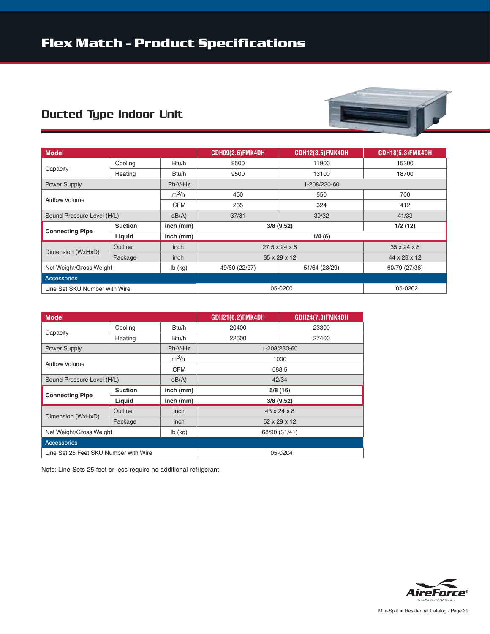#### Ducted Type Indoor Unit



| <b>Model</b>                        |                |             | GDH09(2.6)FMK4DH               | <b>GDH12(3.5)FMK4DH</b> | <b>GDH18(5.3)FMK4DH</b> |  |
|-------------------------------------|----------------|-------------|--------------------------------|-------------------------|-------------------------|--|
|                                     | Cooling        | Btu/h       | 8500                           | 11900                   | 15300                   |  |
| Capacity                            | Heating        | Btu/h       | 9500                           | 13100                   | 18700                   |  |
| Power Supply<br>Ph-V-Hz             |                |             | 1-208/230-60                   |                         |                         |  |
|                                     |                | $m^3/h$     | 450                            | 550                     | 700                     |  |
| Airflow Volume                      |                | <b>CFM</b>  | 265<br>324                     |                         | 412                     |  |
| Sound Pressure Level (H/L)<br>dB(A) |                |             | 37/31<br>39/32                 |                         | 41/33                   |  |
|                                     | <b>Suction</b> | $inch$ (mm) | 3/8(9.52)                      |                         | 1/2(12)                 |  |
| <b>Connecting Pipe</b>              | Liquid         | inch (mm)   |                                |                         |                         |  |
|                                     | Outline        | inch        | $27.5 \times 24 \times 8$      | $35 \times 24 \times 8$ |                         |  |
| Dimension (WxHxD)                   | Package        | inch        | 35 x 29 x 12                   | 44 x 29 x 12            |                         |  |
| Net Weight/Gross Weight             |                | $lb$ (kg)   | 49/60 (22/27)<br>51/64 (23/29) |                         | 60/79 (27/36)           |  |
| Accessories                         |                |             |                                |                         |                         |  |
| Line Set SKU Number with Wire       |                |             | 05-0200                        | 05-0202                 |                         |  |

| <b>Model</b>                          |                |            | <b>GDH21(6.2)FMK4DH</b> | GDH24(7.0)FMK4DH |  |
|---------------------------------------|----------------|------------|-------------------------|------------------|--|
|                                       | Cooling        | Btu/h      | 20400                   | 23800            |  |
| Capacity                              | Heating        | Btu/h      | 22600                   | 27400            |  |
| Power Supply                          |                | Ph-V-Hz    | 1-208/230-60            |                  |  |
| Airflow Volume                        |                | $m^3/h$    | 1000                    |                  |  |
|                                       |                | <b>CFM</b> | 588.5                   |                  |  |
| Sound Pressure Level (H/L)            |                | dB(A)      | 42/34                   |                  |  |
| <b>Connecting Pipe</b>                | <b>Suction</b> | inch (mm)  | 5/8(16)                 |                  |  |
|                                       | Liquid         | inch (mm)  | 3/8(9.52)               |                  |  |
| Dimension (WxHxD)                     | Outline        | inch       | $43 \times 24 \times 8$ |                  |  |
|                                       | Package        | inch       | 52 x 29 x 12            |                  |  |
| Net Weight/Gross Weight               |                | $lb$ (kg)  | 68/90 (31/41)           |                  |  |
| Accessories                           |                |            |                         |                  |  |
| Line Set 25 Feet SKU Number with Wire |                |            | 05-0204                 |                  |  |

Note: Line Sets 25 feet or less require no additional refrigerant.